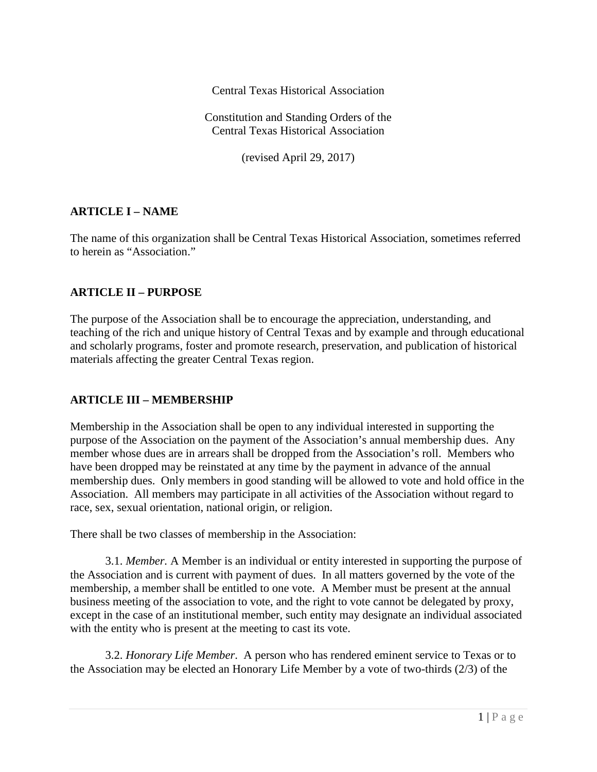Central Texas Historical Association

Constitution and Standing Orders of the Central Texas Historical Association

(revised April 29, 2017)

## **ARTICLE I – NAME**

The name of this organization shall be Central Texas Historical Association, sometimes referred to herein as "Association."

## **ARTICLE II – PURPOSE**

The purpose of the Association shall be to encourage the appreciation, understanding, and teaching of the rich and unique history of Central Texas and by example and through educational and scholarly programs, foster and promote research, preservation, and publication of historical materials affecting the greater Central Texas region.

### **ARTICLE III – MEMBERSHIP**

Membership in the Association shall be open to any individual interested in supporting the purpose of the Association on the payment of the Association's annual membership dues. Any member whose dues are in arrears shall be dropped from the Association's roll. Members who have been dropped may be reinstated at any time by the payment in advance of the annual membership dues. Only members in good standing will be allowed to vote and hold office in the Association. All members may participate in all activities of the Association without regard to race, sex, sexual orientation, national origin, or religion.

There shall be two classes of membership in the Association:

3.1. *Member.* A Member is an individual or entity interested in supporting the purpose of the Association and is current with payment of dues. In all matters governed by the vote of the membership, a member shall be entitled to one vote. A Member must be present at the annual business meeting of the association to vote, and the right to vote cannot be delegated by proxy, except in the case of an institutional member, such entity may designate an individual associated with the entity who is present at the meeting to cast its vote.

3.2. *Honorary Life Member*. A person who has rendered eminent service to Texas or to the Association may be elected an Honorary Life Member by a vote of two-thirds (2/3) of the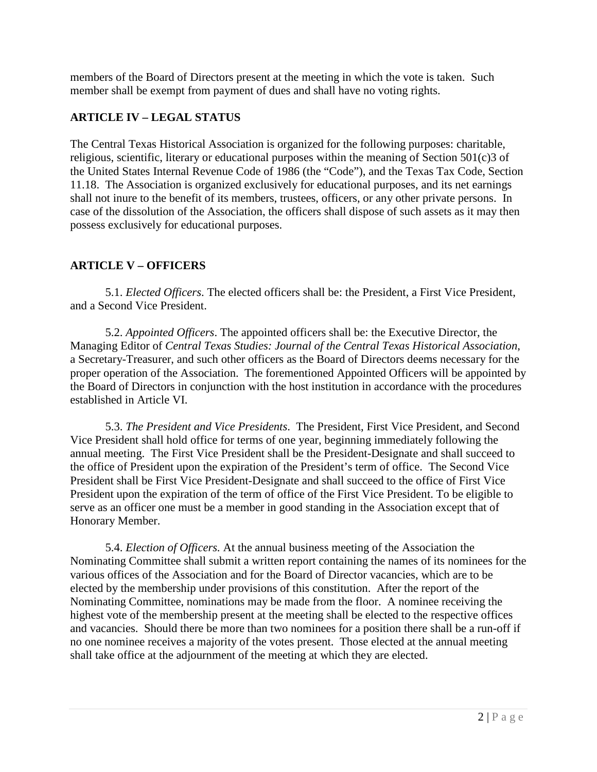members of the Board of Directors present at the meeting in which the vote is taken. Such member shall be exempt from payment of dues and shall have no voting rights.

# **ARTICLE IV – LEGAL STATUS**

The Central Texas Historical Association is organized for the following purposes: charitable, religious, scientific, literary or educational purposes within the meaning of Section 501(c)3 of the United States Internal Revenue Code of 1986 (the "Code"), and the Texas Tax Code, Section 11.18. The Association is organized exclusively for educational purposes, and its net earnings shall not inure to the benefit of its members, trustees, officers, or any other private persons. In case of the dissolution of the Association, the officers shall dispose of such assets as it may then possess exclusively for educational purposes.

### **ARTICLE V – OFFICERS**

5.1. *Elected Officers*. The elected officers shall be: the President, a First Vice President, and a Second Vice President.

5.2. *Appointed Officers*. The appointed officers shall be: the Executive Director, the Managing Editor of *Central Texas Studies: Journal of the Central Texas Historical Association*, a Secretary-Treasurer, and such other officers as the Board of Directors deems necessary for the proper operation of the Association. The forementioned Appointed Officers will be appointed by the Board of Directors in conjunction with the host institution in accordance with the procedures established in Article VI.

5.3. *The President and Vice Presidents*. The President, First Vice President, and Second Vice President shall hold office for terms of one year, beginning immediately following the annual meeting. The First Vice President shall be the President-Designate and shall succeed to the office of President upon the expiration of the President's term of office. The Second Vice President shall be First Vice President-Designate and shall succeed to the office of First Vice President upon the expiration of the term of office of the First Vice President. To be eligible to serve as an officer one must be a member in good standing in the Association except that of Honorary Member.

5.4. *Election of Officers.* At the annual business meeting of the Association the Nominating Committee shall submit a written report containing the names of its nominees for the various offices of the Association and for the Board of Director vacancies, which are to be elected by the membership under provisions of this constitution. After the report of the Nominating Committee, nominations may be made from the floor. A nominee receiving the highest vote of the membership present at the meeting shall be elected to the respective offices and vacancies. Should there be more than two nominees for a position there shall be a run-off if no one nominee receives a majority of the votes present. Those elected at the annual meeting shall take office at the adjournment of the meeting at which they are elected.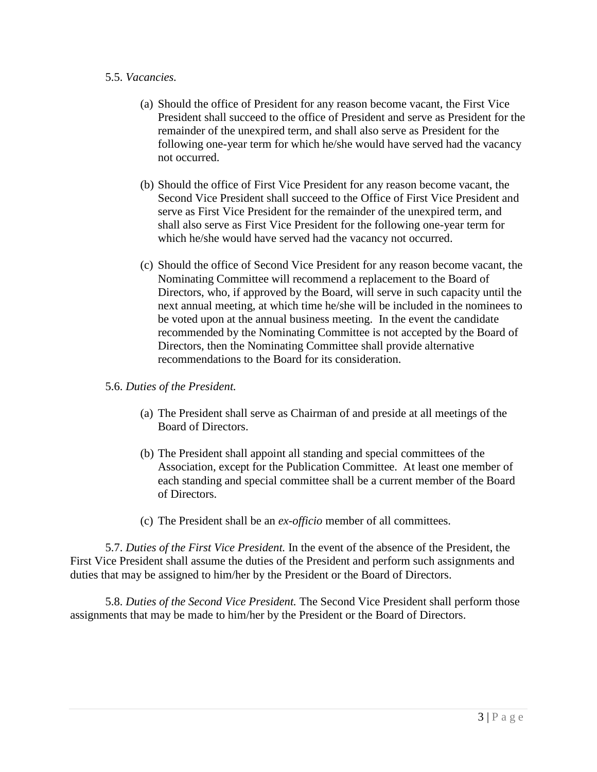#### 5.5. *Vacancies.*

- (a) Should the office of President for any reason become vacant, the First Vice President shall succeed to the office of President and serve as President for the remainder of the unexpired term, and shall also serve as President for the following one-year term for which he/she would have served had the vacancy not occurred.
- (b) Should the office of First Vice President for any reason become vacant, the Second Vice President shall succeed to the Office of First Vice President and serve as First Vice President for the remainder of the unexpired term, and shall also serve as First Vice President for the following one-year term for which he/she would have served had the vacancy not occurred.
- (c) Should the office of Second Vice President for any reason become vacant, the Nominating Committee will recommend a replacement to the Board of Directors, who, if approved by the Board, will serve in such capacity until the next annual meeting, at which time he/she will be included in the nominees to be voted upon at the annual business meeting. In the event the candidate recommended by the Nominating Committee is not accepted by the Board of Directors, then the Nominating Committee shall provide alternative recommendations to the Board for its consideration.

#### 5.6. *Duties of the President.*

- (a) The President shall serve as Chairman of and preside at all meetings of the Board of Directors.
- (b) The President shall appoint all standing and special committees of the Association, except for the Publication Committee. At least one member of each standing and special committee shall be a current member of the Board of Directors.
- (c) The President shall be an *ex-officio* member of all committees.

5.7. *Duties of the First Vice President.* In the event of the absence of the President, the First Vice President shall assume the duties of the President and perform such assignments and duties that may be assigned to him/her by the President or the Board of Directors.

5.8. *Duties of the Second Vice President.* The Second Vice President shall perform those assignments that may be made to him/her by the President or the Board of Directors.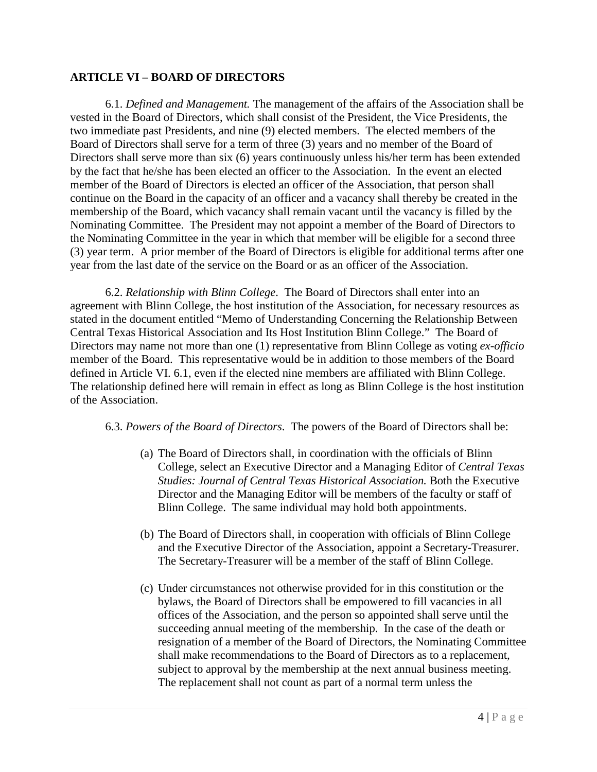#### **ARTICLE VI – BOARD OF DIRECTORS**

6.1. *Defined and Management.* The management of the affairs of the Association shall be vested in the Board of Directors, which shall consist of the President, the Vice Presidents, the two immediate past Presidents, and nine (9) elected members. The elected members of the Board of Directors shall serve for a term of three (3) years and no member of the Board of Directors shall serve more than six (6) years continuously unless his/her term has been extended by the fact that he/she has been elected an officer to the Association. In the event an elected member of the Board of Directors is elected an officer of the Association, that person shall continue on the Board in the capacity of an officer and a vacancy shall thereby be created in the membership of the Board, which vacancy shall remain vacant until the vacancy is filled by the Nominating Committee. The President may not appoint a member of the Board of Directors to the Nominating Committee in the year in which that member will be eligible for a second three (3) year term. A prior member of the Board of Directors is eligible for additional terms after one year from the last date of the service on the Board or as an officer of the Association.

6.2. *Relationship with Blinn College*. The Board of Directors shall enter into an agreement with Blinn College, the host institution of the Association, for necessary resources as stated in the document entitled "Memo of Understanding Concerning the Relationship Between Central Texas Historical Association and Its Host Institution Blinn College." The Board of Directors may name not more than one (1) representative from Blinn College as voting *ex-officio* member of the Board. This representative would be in addition to those members of the Board defined in Article VI. 6.1, even if the elected nine members are affiliated with Blinn College. The relationship defined here will remain in effect as long as Blinn College is the host institution of the Association.

6.3. *Powers of the Board of Directors*. The powers of the Board of Directors shall be:

- (a) The Board of Directors shall, in coordination with the officials of Blinn College, select an Executive Director and a Managing Editor of *Central Texas Studies: Journal of Central Texas Historical Association.* Both the Executive Director and the Managing Editor will be members of the faculty or staff of Blinn College. The same individual may hold both appointments.
- (b) The Board of Directors shall, in cooperation with officials of Blinn College and the Executive Director of the Association, appoint a Secretary-Treasurer. The Secretary-Treasurer will be a member of the staff of Blinn College.
- (c) Under circumstances not otherwise provided for in this constitution or the bylaws, the Board of Directors shall be empowered to fill vacancies in all offices of the Association, and the person so appointed shall serve until the succeeding annual meeting of the membership. In the case of the death or resignation of a member of the Board of Directors, the Nominating Committee shall make recommendations to the Board of Directors as to a replacement, subject to approval by the membership at the next annual business meeting. The replacement shall not count as part of a normal term unless the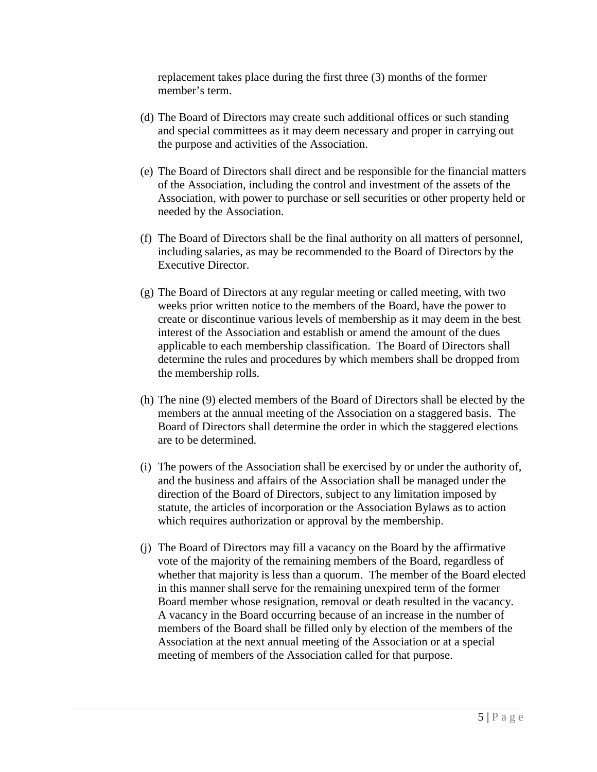replacement takes place during the first three (3) months of the former member's term.

- (d) The Board of Directors may create such additional offices or such standing and special committees as it may deem necessary and proper in carrying out the purpose and activities of the Association.
- (e) The Board of Directors shall direct and be responsible for the financial matters of the Association, including the control and investment of the assets of the Association, with power to purchase or sell securities or other property held or needed by the Association.
- (f) The Board of Directors shall be the final authority on all matters of personnel, including salaries, as may be recommended to the Board of Directors by the Executive Director.
- (g) The Board of Directors at any regular meeting or called meeting, with two weeks prior written notice to the members of the Board, have the power to create or discontinue various levels of membership as it may deem in the best interest of the Association and establish or amend the amount of the dues applicable to each membership classification. The Board of Directors shall determine the rules and procedures by which members shall be dropped from the membership rolls.
- (h) The nine (9) elected members of the Board of Directors shall be elected by the members at the annual meeting of the Association on a staggered basis. The Board of Directors shall determine the order in which the staggered elections are to be determined.
- (i) The powers of the Association shall be exercised by or under the authority of, and the business and affairs of the Association shall be managed under the direction of the Board of Directors, subject to any limitation imposed by statute, the articles of incorporation or the Association Bylaws as to action which requires authorization or approval by the membership.
- (j) The Board of Directors may fill a vacancy on the Board by the affirmative vote of the majority of the remaining members of the Board, regardless of whether that majority is less than a quorum. The member of the Board elected in this manner shall serve for the remaining unexpired term of the former Board member whose resignation, removal or death resulted in the vacancy. A vacancy in the Board occurring because of an increase in the number of members of the Board shall be filled only by election of the members of the Association at the next annual meeting of the Association or at a special meeting of members of the Association called for that purpose.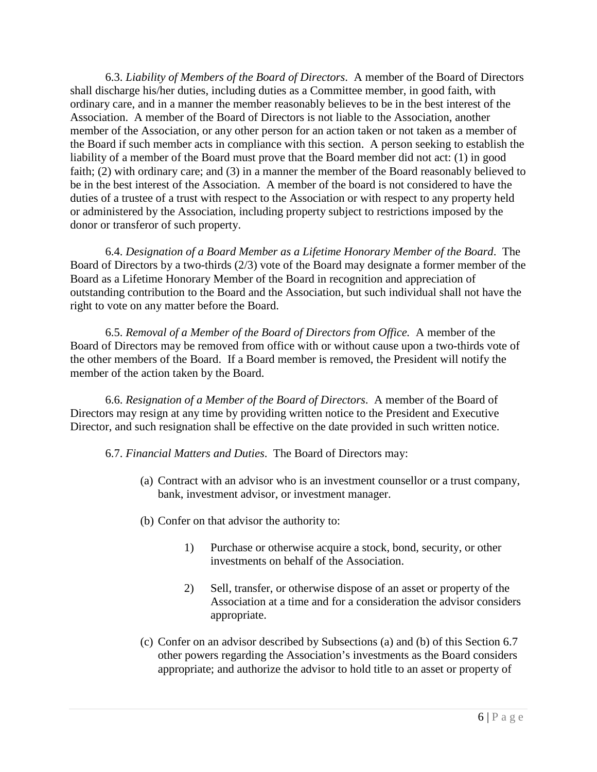6.3. *Liability of Members of the Board of Directors*. A member of the Board of Directors shall discharge his/her duties, including duties as a Committee member, in good faith, with ordinary care, and in a manner the member reasonably believes to be in the best interest of the Association. A member of the Board of Directors is not liable to the Association, another member of the Association, or any other person for an action taken or not taken as a member of the Board if such member acts in compliance with this section. A person seeking to establish the liability of a member of the Board must prove that the Board member did not act: (1) in good faith; (2) with ordinary care; and (3) in a manner the member of the Board reasonably believed to be in the best interest of the Association. A member of the board is not considered to have the duties of a trustee of a trust with respect to the Association or with respect to any property held or administered by the Association, including property subject to restrictions imposed by the donor or transferor of such property.

6.4. *Designation of a Board Member as a Lifetime Honorary Member of the Board*. The Board of Directors by a two-thirds (2/3) vote of the Board may designate a former member of the Board as a Lifetime Honorary Member of the Board in recognition and appreciation of outstanding contribution to the Board and the Association, but such individual shall not have the right to vote on any matter before the Board.

6.5. *Removal of a Member of the Board of Directors from Office.* A member of the Board of Directors may be removed from office with or without cause upon a two-thirds vote of the other members of the Board. If a Board member is removed, the President will notify the member of the action taken by the Board.

6.6. *Resignation of a Member of the Board of Directors*. A member of the Board of Directors may resign at any time by providing written notice to the President and Executive Director, and such resignation shall be effective on the date provided in such written notice.

### 6.7. *Financial Matters and Duties*. The Board of Directors may:

- (a) Contract with an advisor who is an investment counsellor or a trust company, bank, investment advisor, or investment manager.
- (b) Confer on that advisor the authority to:
	- 1) Purchase or otherwise acquire a stock, bond, security, or other investments on behalf of the Association.
	- 2) Sell, transfer, or otherwise dispose of an asset or property of the Association at a time and for a consideration the advisor considers appropriate.
- (c) Confer on an advisor described by Subsections (a) and (b) of this Section 6.7 other powers regarding the Association's investments as the Board considers appropriate; and authorize the advisor to hold title to an asset or property of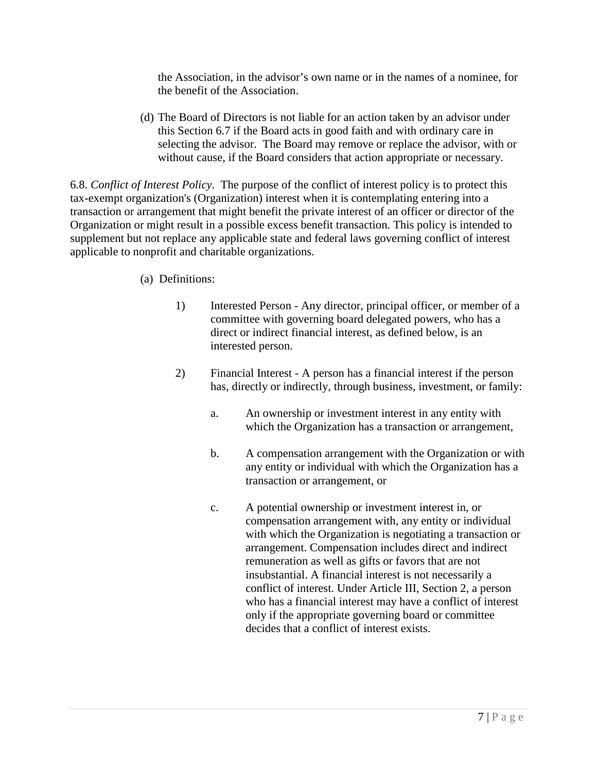the Association, in the advisor's own name or in the names of a nominee, for the benefit of the Association.

(d) The Board of Directors is not liable for an action taken by an advisor under this Section 6.7 if the Board acts in good faith and with ordinary care in selecting the advisor. The Board may remove or replace the advisor, with or without cause, if the Board considers that action appropriate or necessary.

6.8. *Conflict of Interest Policy*. The purpose of the conflict of interest policy is to protect this tax-exempt organization's (Organization) interest when it is contemplating entering into a transaction or arrangement that might benefit the private interest of an officer or director of the Organization or might result in a possible excess benefit transaction. This policy is intended to supplement but not replace any applicable state and federal laws governing conflict of interest applicable to nonprofit and charitable organizations.

- (a) Definitions:
	- 1) Interested Person Any director, principal officer, or member of a committee with governing board delegated powers, who has a direct or indirect financial interest, as defined below, is an interested person.
	- 2) Financial Interest A person has a financial interest if the person has, directly or indirectly, through business, investment, or family:
		- a. An ownership or investment interest in any entity with which the Organization has a transaction or arrangement,
		- b. A compensation arrangement with the Organization or with any entity or individual with which the Organization has a transaction or arrangement, or
		- c. A potential ownership or investment interest in, or compensation arrangement with, any entity or individual with which the Organization is negotiating a transaction or arrangement. Compensation includes direct and indirect remuneration as well as gifts or favors that are not insubstantial. A financial interest is not necessarily a conflict of interest. Under Article III, Section 2, a person who has a financial interest may have a conflict of interest only if the appropriate governing board or committee decides that a conflict of interest exists.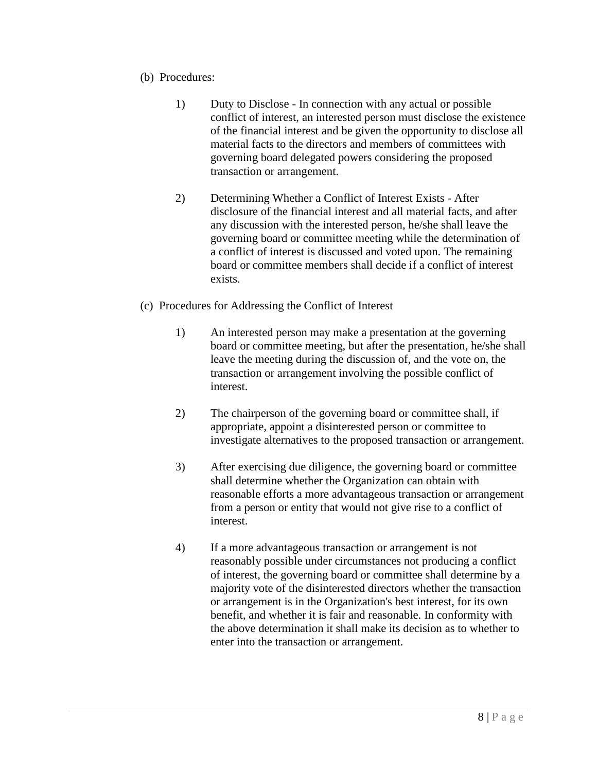- (b) Procedures:
	- 1) Duty to Disclose In connection with any actual or possible conflict of interest, an interested person must disclose the existence of the financial interest and be given the opportunity to disclose all material facts to the directors and members of committees with governing board delegated powers considering the proposed transaction or arrangement.
	- 2) Determining Whether a Conflict of Interest Exists After disclosure of the financial interest and all material facts, and after any discussion with the interested person, he/she shall leave the governing board or committee meeting while the determination of a conflict of interest is discussed and voted upon. The remaining board or committee members shall decide if a conflict of interest exists.
- (c) Procedures for Addressing the Conflict of Interest
	- 1) An interested person may make a presentation at the governing board or committee meeting, but after the presentation, he/she shall leave the meeting during the discussion of, and the vote on, the transaction or arrangement involving the possible conflict of interest.
	- 2) The chairperson of the governing board or committee shall, if appropriate, appoint a disinterested person or committee to investigate alternatives to the proposed transaction or arrangement.
	- 3) After exercising due diligence, the governing board or committee shall determine whether the Organization can obtain with reasonable efforts a more advantageous transaction or arrangement from a person or entity that would not give rise to a conflict of interest.
	- 4) If a more advantageous transaction or arrangement is not reasonably possible under circumstances not producing a conflict of interest, the governing board or committee shall determine by a majority vote of the disinterested directors whether the transaction or arrangement is in the Organization's best interest, for its own benefit, and whether it is fair and reasonable. In conformity with the above determination it shall make its decision as to whether to enter into the transaction or arrangement.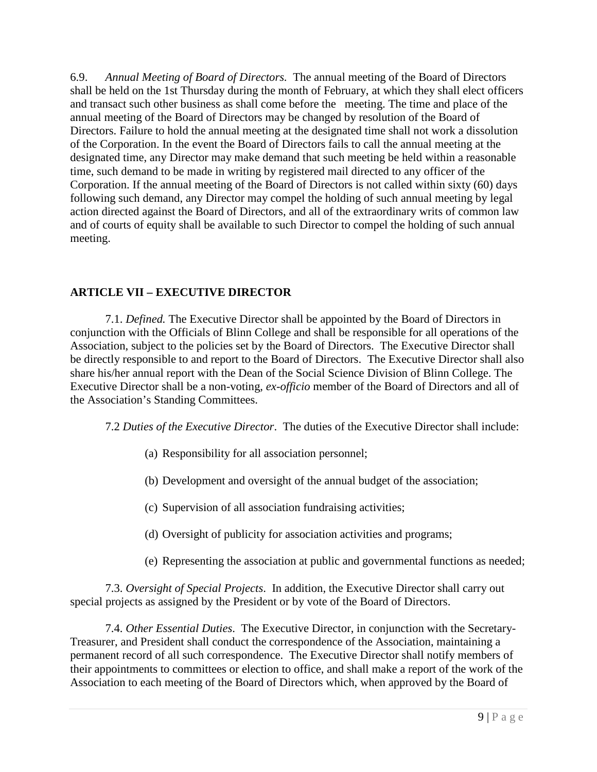6.9. *Annual Meeting of Board of Directors.* The annual meeting of the Board of Directors shall be held on the 1st Thursday during the month of February, at which they shall elect officers and transact such other business as shall come before the meeting. The time and place of the annual meeting of the Board of Directors may be changed by resolution of the Board of Directors. Failure to hold the annual meeting at the designated time shall not work a dissolution of the Corporation. In the event the Board of Directors fails to call the annual meeting at the designated time, any Director may make demand that such meeting be held within a reasonable time, such demand to be made in writing by registered mail directed to any officer of the Corporation. If the annual meeting of the Board of Directors is not called within sixty (60) days following such demand, any Director may compel the holding of such annual meeting by legal action directed against the Board of Directors, and all of the extraordinary writs of common law and of courts of equity shall be available to such Director to compel the holding of such annual meeting.

## **ARTICLE VII – EXECUTIVE DIRECTOR**

7.1. *Defined.* The Executive Director shall be appointed by the Board of Directors in conjunction with the Officials of Blinn College and shall be responsible for all operations of the Association, subject to the policies set by the Board of Directors. The Executive Director shall be directly responsible to and report to the Board of Directors. The Executive Director shall also share his/her annual report with the Dean of the Social Science Division of Blinn College. The Executive Director shall be a non-voting, *ex-officio* member of the Board of Directors and all of the Association's Standing Committees.

7.2 *Duties of the Executive Director*. The duties of the Executive Director shall include:

- (a) Responsibility for all association personnel;
- (b) Development and oversight of the annual budget of the association;
- (c) Supervision of all association fundraising activities;
- (d) Oversight of publicity for association activities and programs;
- (e) Representing the association at public and governmental functions as needed;

7.3. *Oversight of Special Projects*. In addition, the Executive Director shall carry out special projects as assigned by the President or by vote of the Board of Directors.

7.4. *Other Essential Duties*. The Executive Director, in conjunction with the Secretary-Treasurer, and President shall conduct the correspondence of the Association, maintaining a permanent record of all such correspondence. The Executive Director shall notify members of their appointments to committees or election to office, and shall make a report of the work of the Association to each meeting of the Board of Directors which, when approved by the Board of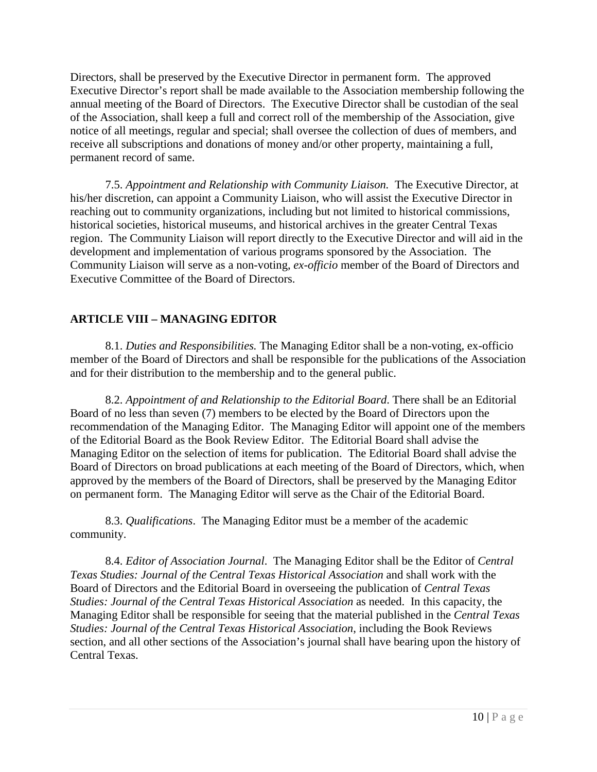Directors, shall be preserved by the Executive Director in permanent form. The approved Executive Director's report shall be made available to the Association membership following the annual meeting of the Board of Directors. The Executive Director shall be custodian of the seal of the Association, shall keep a full and correct roll of the membership of the Association, give notice of all meetings, regular and special; shall oversee the collection of dues of members, and receive all subscriptions and donations of money and/or other property, maintaining a full, permanent record of same.

7.5. *Appointment and Relationship with Community Liaison.* The Executive Director, at his/her discretion, can appoint a Community Liaison, who will assist the Executive Director in reaching out to community organizations, including but not limited to historical commissions, historical societies, historical museums, and historical archives in the greater Central Texas region. The Community Liaison will report directly to the Executive Director and will aid in the development and implementation of various programs sponsored by the Association. The Community Liaison will serve as a non-voting, *ex-officio* member of the Board of Directors and Executive Committee of the Board of Directors.

# **ARTICLE VIII – MANAGING EDITOR**

8.1. *Duties and Responsibilities.* The Managing Editor shall be a non-voting, ex-officio member of the Board of Directors and shall be responsible for the publications of the Association and for their distribution to the membership and to the general public.

8.2. *Appointment of and Relationship to the Editorial Board*. There shall be an Editorial Board of no less than seven (7) members to be elected by the Board of Directors upon the recommendation of the Managing Editor. The Managing Editor will appoint one of the members of the Editorial Board as the Book Review Editor. The Editorial Board shall advise the Managing Editor on the selection of items for publication. The Editorial Board shall advise the Board of Directors on broad publications at each meeting of the Board of Directors, which, when approved by the members of the Board of Directors, shall be preserved by the Managing Editor on permanent form. The Managing Editor will serve as the Chair of the Editorial Board.

8.3. *Qualifications*. The Managing Editor must be a member of the academic community.

8.4. *Editor of Association Journal*. The Managing Editor shall be the Editor of *Central Texas Studies: Journal of the Central Texas Historical Association* and shall work with the Board of Directors and the Editorial Board in overseeing the publication of *Central Texas Studies: Journal of the Central Texas Historical Association* as needed. In this capacity, the Managing Editor shall be responsible for seeing that the material published in the *Central Texas Studies: Journal of the Central Texas Historical Association*, including the Book Reviews section, and all other sections of the Association's journal shall have bearing upon the history of Central Texas.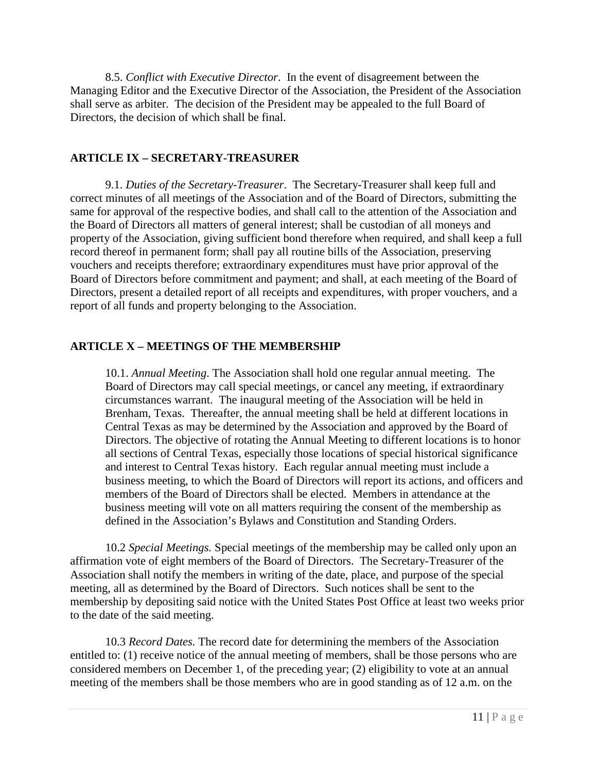8.5. *Conflict with Executive Director*. In the event of disagreement between the Managing Editor and the Executive Director of the Association, the President of the Association shall serve as arbiter. The decision of the President may be appealed to the full Board of Directors, the decision of which shall be final.

### **ARTICLE IX – SECRETARY-TREASURER**

9.1. *Duties of the Secretary-Treasurer*. The Secretary-Treasurer shall keep full and correct minutes of all meetings of the Association and of the Board of Directors, submitting the same for approval of the respective bodies, and shall call to the attention of the Association and the Board of Directors all matters of general interest; shall be custodian of all moneys and property of the Association, giving sufficient bond therefore when required, and shall keep a full record thereof in permanent form; shall pay all routine bills of the Association, preserving vouchers and receipts therefore; extraordinary expenditures must have prior approval of the Board of Directors before commitment and payment; and shall, at each meeting of the Board of Directors, present a detailed report of all receipts and expenditures, with proper vouchers, and a report of all funds and property belonging to the Association.

## **ARTICLE X – MEETINGS OF THE MEMBERSHIP**

10.1. *Annual Meeting*. The Association shall hold one regular annual meeting. The Board of Directors may call special meetings, or cancel any meeting, if extraordinary circumstances warrant. The inaugural meeting of the Association will be held in Brenham, Texas. Thereafter, the annual meeting shall be held at different locations in Central Texas as may be determined by the Association and approved by the Board of Directors. The objective of rotating the Annual Meeting to different locations is to honor all sections of Central Texas, especially those locations of special historical significance and interest to Central Texas history. Each regular annual meeting must include a business meeting, to which the Board of Directors will report its actions, and officers and members of the Board of Directors shall be elected. Members in attendance at the business meeting will vote on all matters requiring the consent of the membership as defined in the Association's Bylaws and Constitution and Standing Orders.

10.2 *Special Meetings.* Special meetings of the membership may be called only upon an affirmation vote of eight members of the Board of Directors. The Secretary-Treasurer of the Association shall notify the members in writing of the date, place, and purpose of the special meeting, all as determined by the Board of Directors. Such notices shall be sent to the membership by depositing said notice with the United States Post Office at least two weeks prior to the date of the said meeting.

10.3 *Record Dates.* The record date for determining the members of the Association entitled to: (1) receive notice of the annual meeting of members, shall be those persons who are considered members on December 1, of the preceding year; (2) eligibility to vote at an annual meeting of the members shall be those members who are in good standing as of 12 a.m. on the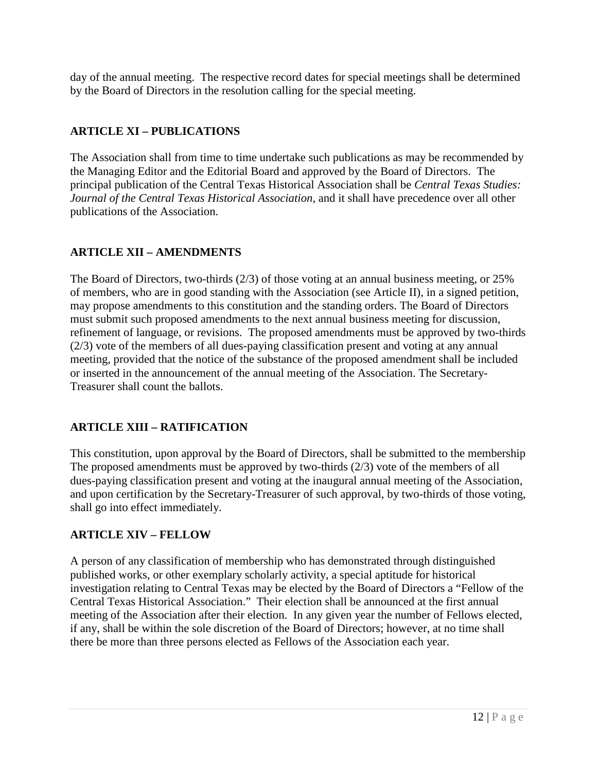day of the annual meeting. The respective record dates for special meetings shall be determined by the Board of Directors in the resolution calling for the special meeting.

# **ARTICLE XI – PUBLICATIONS**

The Association shall from time to time undertake such publications as may be recommended by the Managing Editor and the Editorial Board and approved by the Board of Directors. The principal publication of the Central Texas Historical Association shall be *Central Texas Studies: Journal of the Central Texas Historical Association*, and it shall have precedence over all other publications of the Association.

# **ARTICLE XII – AMENDMENTS**

The Board of Directors, two-thirds (2/3) of those voting at an annual business meeting, or 25% of members, who are in good standing with the Association (see Article II), in a signed petition, may propose amendments to this constitution and the standing orders. The Board of Directors must submit such proposed amendments to the next annual business meeting for discussion, refinement of language, or revisions. The proposed amendments must be approved by two-thirds (2/3) vote of the members of all dues-paying classification present and voting at any annual meeting, provided that the notice of the substance of the proposed amendment shall be included or inserted in the announcement of the annual meeting of the Association. The Secretary-Treasurer shall count the ballots.

# **ARTICLE XIII – RATIFICATION**

This constitution, upon approval by the Board of Directors, shall be submitted to the membership The proposed amendments must be approved by two-thirds (2/3) vote of the members of all dues-paying classification present and voting at the inaugural annual meeting of the Association, and upon certification by the Secretary-Treasurer of such approval, by two-thirds of those voting, shall go into effect immediately.

# **ARTICLE XIV – FELLOW**

A person of any classification of membership who has demonstrated through distinguished published works, or other exemplary scholarly activity, a special aptitude for historical investigation relating to Central Texas may be elected by the Board of Directors a "Fellow of the Central Texas Historical Association." Their election shall be announced at the first annual meeting of the Association after their election. In any given year the number of Fellows elected, if any, shall be within the sole discretion of the Board of Directors; however, at no time shall there be more than three persons elected as Fellows of the Association each year.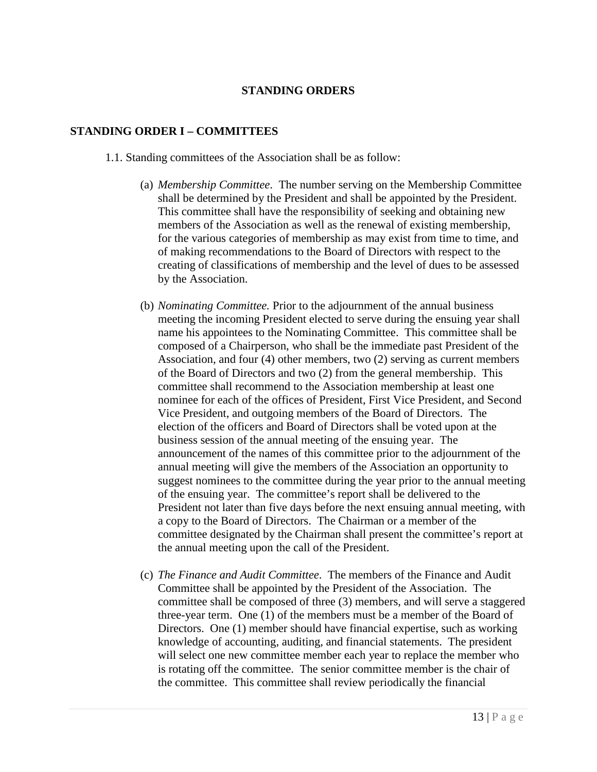#### **STANDING ORDERS**

### **STANDING ORDER I – COMMITTEES**

- 1.1. Standing committees of the Association shall be as follow:
	- (a) *Membership Committee*. The number serving on the Membership Committee shall be determined by the President and shall be appointed by the President. This committee shall have the responsibility of seeking and obtaining new members of the Association as well as the renewal of existing membership, for the various categories of membership as may exist from time to time, and of making recommendations to the Board of Directors with respect to the creating of classifications of membership and the level of dues to be assessed by the Association.
	- (b) *Nominating Committee.* Prior to the adjournment of the annual business meeting the incoming President elected to serve during the ensuing year shall name his appointees to the Nominating Committee. This committee shall be composed of a Chairperson, who shall be the immediate past President of the Association, and four (4) other members, two (2) serving as current members of the Board of Directors and two (2) from the general membership. This committee shall recommend to the Association membership at least one nominee for each of the offices of President, First Vice President, and Second Vice President, and outgoing members of the Board of Directors. The election of the officers and Board of Directors shall be voted upon at the business session of the annual meeting of the ensuing year. The announcement of the names of this committee prior to the adjournment of the annual meeting will give the members of the Association an opportunity to suggest nominees to the committee during the year prior to the annual meeting of the ensuing year. The committee's report shall be delivered to the President not later than five days before the next ensuing annual meeting, with a copy to the Board of Directors. The Chairman or a member of the committee designated by the Chairman shall present the committee's report at the annual meeting upon the call of the President.
	- (c) *The Finance and Audit Committee*. The members of the Finance and Audit Committee shall be appointed by the President of the Association. The committee shall be composed of three (3) members, and will serve a staggered three-year term. One (1) of the members must be a member of the Board of Directors. One (1) member should have financial expertise, such as working knowledge of accounting, auditing, and financial statements. The president will select one new committee member each year to replace the member who is rotating off the committee. The senior committee member is the chair of the committee. This committee shall review periodically the financial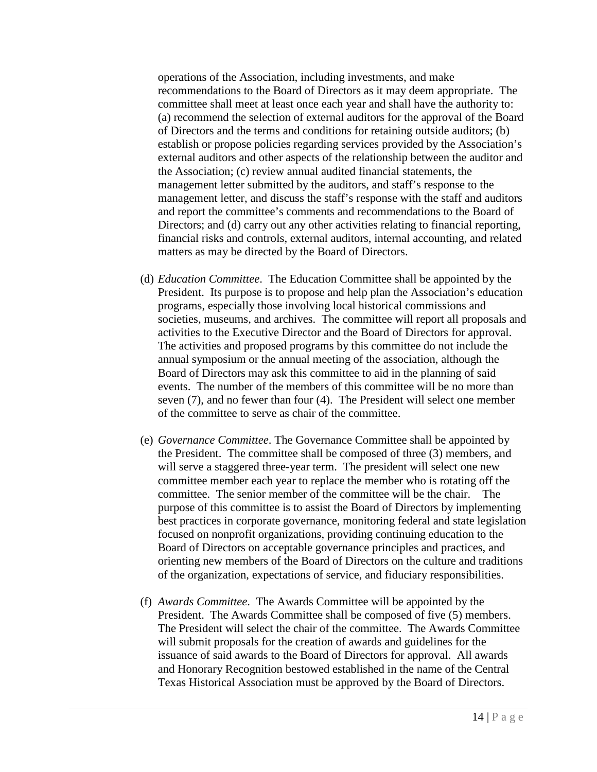operations of the Association, including investments, and make recommendations to the Board of Directors as it may deem appropriate. The committee shall meet at least once each year and shall have the authority to: (a) recommend the selection of external auditors for the approval of the Board of Directors and the terms and conditions for retaining outside auditors; (b) establish or propose policies regarding services provided by the Association's external auditors and other aspects of the relationship between the auditor and the Association; (c) review annual audited financial statements, the management letter submitted by the auditors, and staff's response to the management letter, and discuss the staff's response with the staff and auditors and report the committee's comments and recommendations to the Board of Directors; and (d) carry out any other activities relating to financial reporting, financial risks and controls, external auditors, internal accounting, and related matters as may be directed by the Board of Directors.

- (d) *Education Committee*. The Education Committee shall be appointed by the President. Its purpose is to propose and help plan the Association's education programs, especially those involving local historical commissions and societies, museums, and archives. The committee will report all proposals and activities to the Executive Director and the Board of Directors for approval. The activities and proposed programs by this committee do not include the annual symposium or the annual meeting of the association, although the Board of Directors may ask this committee to aid in the planning of said events. The number of the members of this committee will be no more than seven (7), and no fewer than four (4). The President will select one member of the committee to serve as chair of the committee.
- (e) *Governance Committee*. The Governance Committee shall be appointed by the President. The committee shall be composed of three (3) members, and will serve a staggered three-year term. The president will select one new committee member each year to replace the member who is rotating off the committee. The senior member of the committee will be the chair. The purpose of this committee is to assist the Board of Directors by implementing best practices in corporate governance, monitoring federal and state legislation focused on nonprofit organizations, providing continuing education to the Board of Directors on acceptable governance principles and practices, and orienting new members of the Board of Directors on the culture and traditions of the organization, expectations of service, and fiduciary responsibilities.
- (f) *Awards Committee*. The Awards Committee will be appointed by the President. The Awards Committee shall be composed of five (5) members. The President will select the chair of the committee. The Awards Committee will submit proposals for the creation of awards and guidelines for the issuance of said awards to the Board of Directors for approval. All awards and Honorary Recognition bestowed established in the name of the Central Texas Historical Association must be approved by the Board of Directors.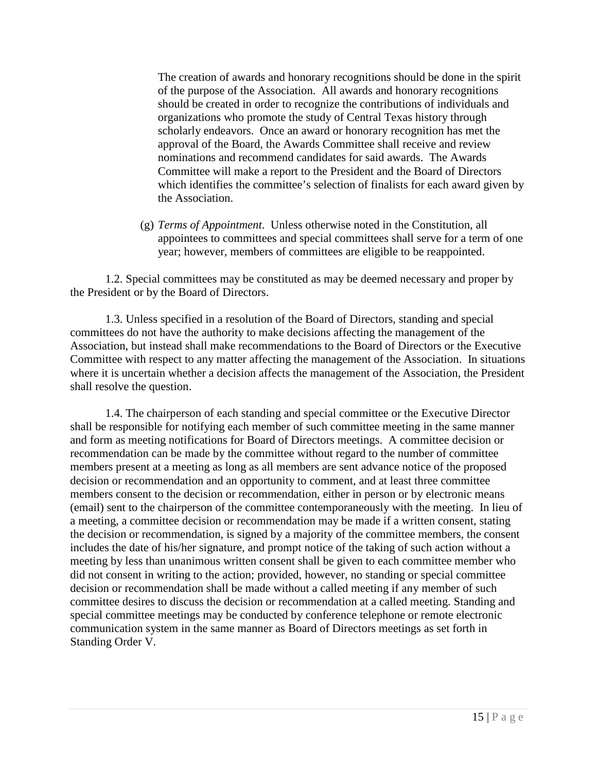The creation of awards and honorary recognitions should be done in the spirit of the purpose of the Association. All awards and honorary recognitions should be created in order to recognize the contributions of individuals and organizations who promote the study of Central Texas history through scholarly endeavors. Once an award or honorary recognition has met the approval of the Board, the Awards Committee shall receive and review nominations and recommend candidates for said awards. The Awards Committee will make a report to the President and the Board of Directors which identifies the committee's selection of finalists for each award given by the Association.

(g) *Terms of Appointment*. Unless otherwise noted in the Constitution, all appointees to committees and special committees shall serve for a term of one year; however, members of committees are eligible to be reappointed.

1.2. Special committees may be constituted as may be deemed necessary and proper by the President or by the Board of Directors.

1.3. Unless specified in a resolution of the Board of Directors, standing and special committees do not have the authority to make decisions affecting the management of the Association, but instead shall make recommendations to the Board of Directors or the Executive Committee with respect to any matter affecting the management of the Association. In situations where it is uncertain whether a decision affects the management of the Association, the President shall resolve the question.

1.4. The chairperson of each standing and special committee or the Executive Director shall be responsible for notifying each member of such committee meeting in the same manner and form as meeting notifications for Board of Directors meetings. A committee decision or recommendation can be made by the committee without regard to the number of committee members present at a meeting as long as all members are sent advance notice of the proposed decision or recommendation and an opportunity to comment, and at least three committee members consent to the decision or recommendation, either in person or by electronic means (email) sent to the chairperson of the committee contemporaneously with the meeting. In lieu of a meeting, a committee decision or recommendation may be made if a written consent, stating the decision or recommendation, is signed by a majority of the committee members, the consent includes the date of his/her signature, and prompt notice of the taking of such action without a meeting by less than unanimous written consent shall be given to each committee member who did not consent in writing to the action; provided, however, no standing or special committee decision or recommendation shall be made without a called meeting if any member of such committee desires to discuss the decision or recommendation at a called meeting. Standing and special committee meetings may be conducted by conference telephone or remote electronic communication system in the same manner as Board of Directors meetings as set forth in Standing Order V.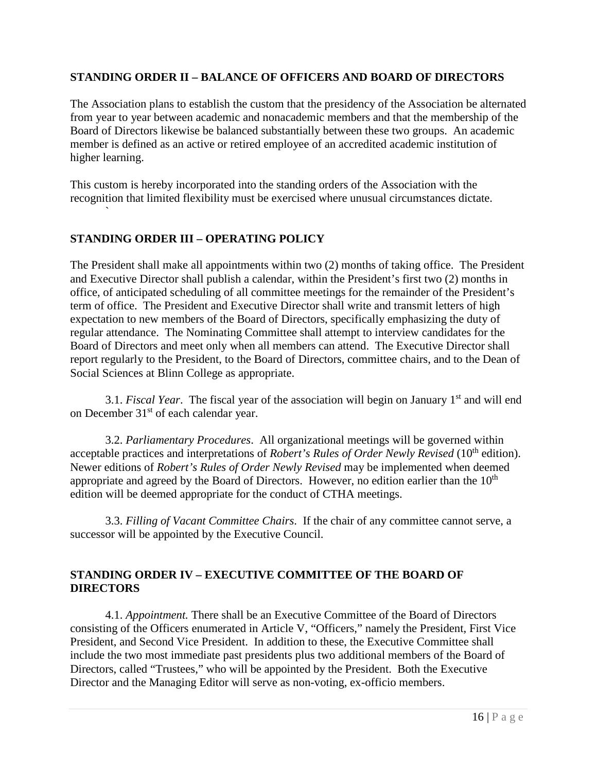### **STANDING ORDER II – BALANCE OF OFFICERS AND BOARD OF DIRECTORS**

The Association plans to establish the custom that the presidency of the Association be alternated from year to year between academic and nonacademic members and that the membership of the Board of Directors likewise be balanced substantially between these two groups. An academic member is defined as an active or retired employee of an accredited academic institution of higher learning.

This custom is hereby incorporated into the standing orders of the Association with the recognition that limited flexibility must be exercised where unusual circumstances dictate.

### **STANDING ORDER III – OPERATING POLICY**

`

The President shall make all appointments within two (2) months of taking office. The President and Executive Director shall publish a calendar, within the President's first two (2) months in office, of anticipated scheduling of all committee meetings for the remainder of the President's term of office. The President and Executive Director shall write and transmit letters of high expectation to new members of the Board of Directors, specifically emphasizing the duty of regular attendance. The Nominating Committee shall attempt to interview candidates for the Board of Directors and meet only when all members can attend. The Executive Director shall report regularly to the President, to the Board of Directors, committee chairs, and to the Dean of Social Sciences at Blinn College as appropriate.

3.1. *Fiscal Year*. The fiscal year of the association will begin on January 1st and will end on December 31<sup>st</sup> of each calendar year.

3.2. *Parliamentary Procedures*. All organizational meetings will be governed within acceptable practices and interpretations of *Robert's Rules of Order Newly Revised* (10<sup>th</sup> edition). Newer editions of *Robert's Rules of Order Newly Revised* may be implemented when deemed appropriate and agreed by the Board of Directors. However, no edition earlier than the  $10<sup>th</sup>$ edition will be deemed appropriate for the conduct of CTHA meetings.

3.3. *Filling of Vacant Committee Chairs*. If the chair of any committee cannot serve, a successor will be appointed by the Executive Council.

#### **STANDING ORDER IV – EXECUTIVE COMMITTEE OF THE BOARD OF DIRECTORS**

4.1. *Appointment.* There shall be an Executive Committee of the Board of Directors consisting of the Officers enumerated in Article V, "Officers," namely the President, First Vice President, and Second Vice President. In addition to these, the Executive Committee shall include the two most immediate past presidents plus two additional members of the Board of Directors, called "Trustees," who will be appointed by the President. Both the Executive Director and the Managing Editor will serve as non-voting, ex-officio members.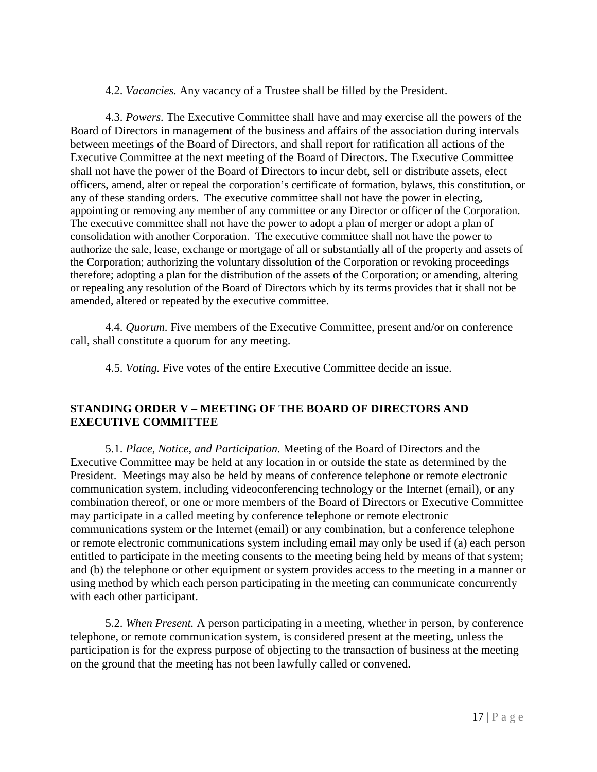4.2. *Vacancies.* Any vacancy of a Trustee shall be filled by the President.

4.3. *Powers.* The Executive Committee shall have and may exercise all the powers of the Board of Directors in management of the business and affairs of the association during intervals between meetings of the Board of Directors, and shall report for ratification all actions of the Executive Committee at the next meeting of the Board of Directors. The Executive Committee shall not have the power of the Board of Directors to incur debt, sell or distribute assets, elect officers, amend, alter or repeal the corporation's certificate of formation, bylaws, this constitution, or any of these standing orders. The executive committee shall not have the power in electing, appointing or removing any member of any committee or any Director or officer of the Corporation. The executive committee shall not have the power to adopt a plan of merger or adopt a plan of consolidation with another Corporation. The executive committee shall not have the power to authorize the sale, lease, exchange or mortgage of all or substantially all of the property and assets of the Corporation; authorizing the voluntary dissolution of the Corporation or revoking proceedings therefore; adopting a plan for the distribution of the assets of the Corporation; or amending, altering or repealing any resolution of the Board of Directors which by its terms provides that it shall not be amended, altered or repeated by the executive committee.

4.4. *Quorum*. Five members of the Executive Committee, present and/or on conference call, shall constitute a quorum for any meeting.

4.5. *Voting.* Five votes of the entire Executive Committee decide an issue.

## **STANDING ORDER V – MEETING OF THE BOARD OF DIRECTORS AND EXECUTIVE COMMITTEE**

5.1. *Place, Notice, and Participation.* Meeting of the Board of Directors and the Executive Committee may be held at any location in or outside the state as determined by the President. Meetings may also be held by means of conference telephone or remote electronic communication system, including videoconferencing technology or the Internet (email), or any combination thereof, or one or more members of the Board of Directors or Executive Committee may participate in a called meeting by conference telephone or remote electronic communications system or the Internet (email) or any combination, but a conference telephone or remote electronic communications system including email may only be used if (a) each person entitled to participate in the meeting consents to the meeting being held by means of that system; and (b) the telephone or other equipment or system provides access to the meeting in a manner or using method by which each person participating in the meeting can communicate concurrently with each other participant.

5.2. *When Present.* A person participating in a meeting, whether in person, by conference telephone, or remote communication system, is considered present at the meeting, unless the participation is for the express purpose of objecting to the transaction of business at the meeting on the ground that the meeting has not been lawfully called or convened.